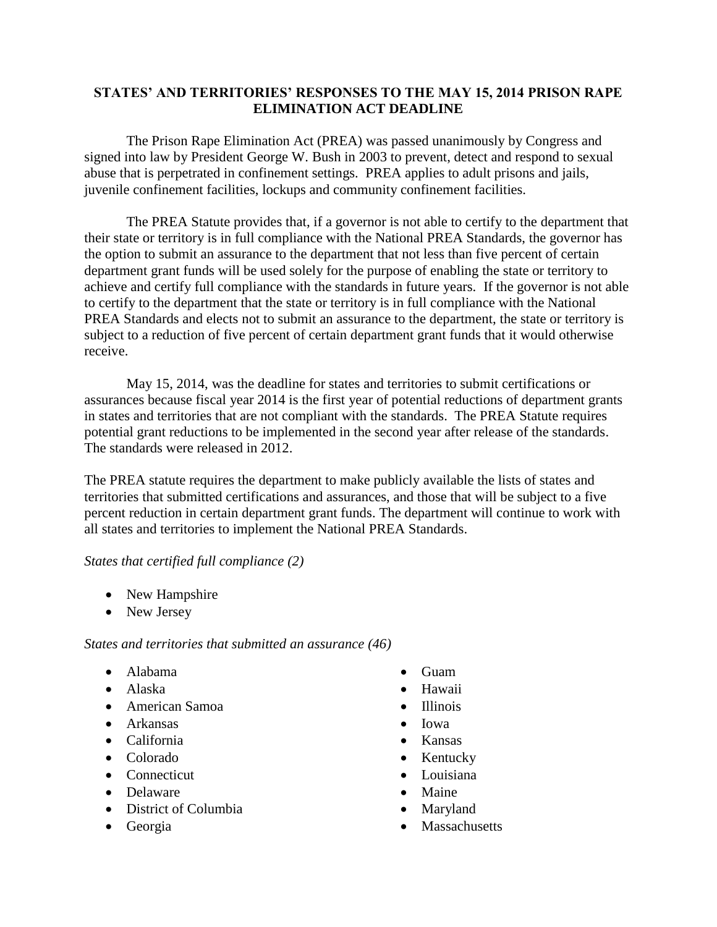## **STATES' AND TERRITORIES' RESPONSES TO THE MAY 15, 2014 PRISON RAPE ELIMINATION ACT DEADLINE**

The Prison Rape Elimination Act (PREA) was passed unanimously by Congress and signed into law by President George W. Bush in 2003 to prevent, detect and respond to sexual abuse that is perpetrated in confinement settings. PREA applies to adult prisons and jails, juvenile confinement facilities, lockups and community confinement facilities.

The PREA Statute provides that, if a governor is not able to certify to the department that their state or territory is in full compliance with the National PREA Standards, the governor has the option to submit an assurance to the department that not less than five percent of certain department grant funds will be used solely for the purpose of enabling the state or territory to achieve and certify full compliance with the standards in future years. If the governor is not able to certify to the department that the state or territory is in full compliance with the National PREA Standards and elects not to submit an assurance to the department, the state or territory is subject to a reduction of five percent of certain department grant funds that it would otherwise receive.

May 15, 2014, was the deadline for states and territories to submit certifications or assurances because fiscal year 2014 is the first year of potential reductions of department grants in states and territories that are not compliant with the standards. The PREA Statute requires potential grant reductions to be implemented in the second year after release of the standards. The standards were released in 2012.

The PREA statute requires the department to make publicly available the lists of states and territories that submitted certifications and assurances, and those that will be subject to a five percent reduction in certain department grant funds. The department will continue to work with all states and territories to implement the National PREA Standards.

## *States that certified full compliance (2)*

- New Hampshire
- New Jersey

## *States and territories that submitted an assurance (46)*

- Alabama
- Alaska
- American Samoa
- Arkansas
- California
- Colorado
- Connecticut
- **•** Delaware
- District of Columbia
- Georgia
- Guam
- Hawaii
- Illinois
- Iowa
- Kansas
- Kentucky
- Louisiana
- Maine
- Maryland
- Massachusetts